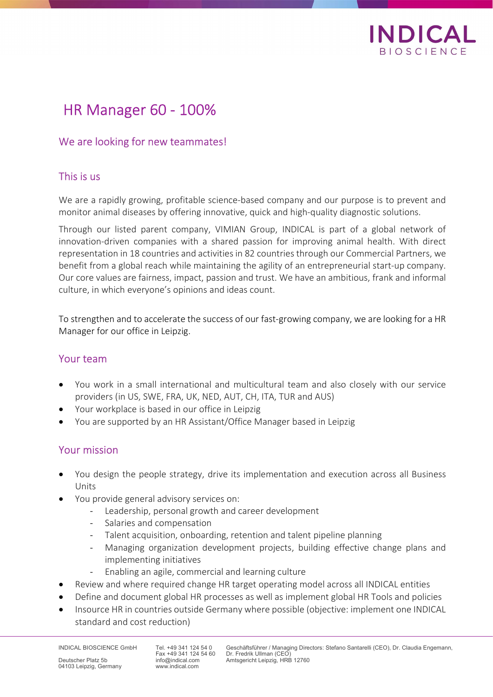

# HR Manager 60 - 100%

## We are looking for new teammates!

## This is us

We are a rapidly growing, profitable science-based company and our purpose is to prevent and monitor animal diseases by offering innovative, quick and high-quality diagnostic solutions.

Through our listed parent company, VIMIAN Group, INDICAL is part of a global network of innovation-driven companies with a shared passion for improving animal health. With direct representation in 18 countries and activities in 82 countries through our Commercial Partners, we benefit from a global reach while maintaining the agility of an entrepreneurial start-up company. Our core values are fairness, impact, passion and trust. We have an ambitious, frank and informal culture, in which everyone's opinions and ideas count.

To strengthen and to accelerate the success of our fast-growing company, we are looking for a HR Manager for our office in Leipzig.

#### Your team

- You work in a small international and multicultural team and also closely with our service providers (in US, SWE, FRA, UK, NED, AUT, CH, ITA, TUR and AUS)
- Your workplace is based in our office in Leipzig
- You are supported by an HR Assistant/Office Manager based in Leipzig

## Your mission

- You design the people strategy, drive its implementation and execution across all Business Units
- You provide general advisory services on:
	- Leadership, personal growth and career development
	- Salaries and compensation
	- Talent acquisition, onboarding, retention and talent pipeline planning
	- Managing organization development projects, building effective change plans and implementing initiatives
	- Enabling an agile, commercial and learning culture
- Review and where required change HR target operating model across all INDICAL entities
- Define and document global HR processes as well as implement global HR Tools and policies
- Insource HR in countries outside Germany where possible (objective: implement one INDICAL standard and cost reduction)